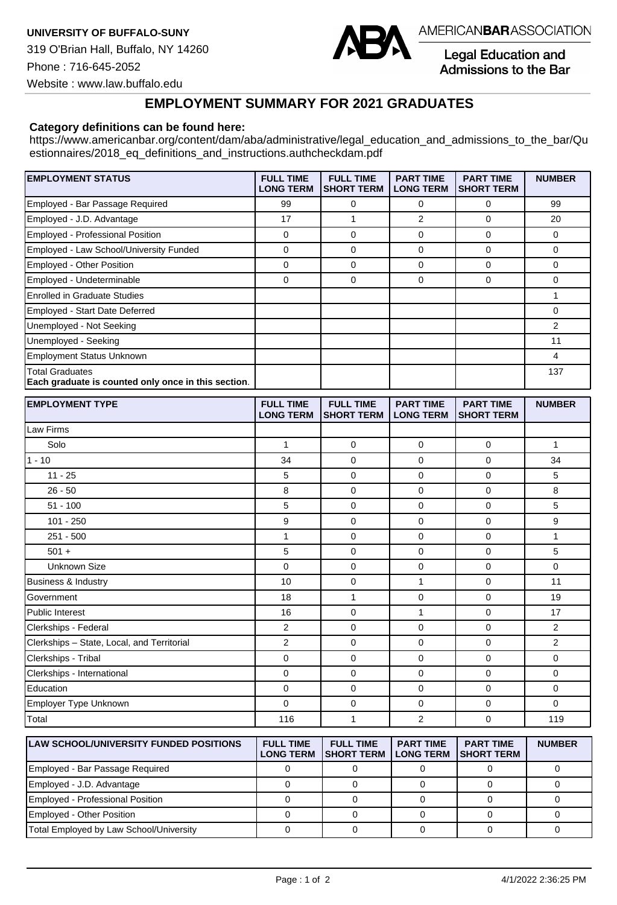

**Legal Education and** Admissions to the Bar

Website : www.law.buffalo.edu

## **EMPLOYMENT SUMMARY FOR 2021 GRADUATES**

## **Category definitions can be found here:**

https://www.americanbar.org/content/dam/aba/administrative/legal\_education\_and\_admissions\_to\_the\_bar/Qu estionnaires/2018\_eq\_definitions\_and\_instructions.authcheckdam.pdf

| <b>EMPLOYMENT STATUS</b>                                                      | <b>FULL TIME</b><br><b>LONG TERM</b> | <b>FULL TIME</b><br><b>SHORT TERM</b> | <b>PART TIME</b><br><b>LONG TERM</b> | <b>PART TIME</b><br><b>SHORT TERM</b> | <b>NUMBER</b>  |
|-------------------------------------------------------------------------------|--------------------------------------|---------------------------------------|--------------------------------------|---------------------------------------|----------------|
| Employed - Bar Passage Required                                               | 99                                   | 0                                     | $\mathbf 0$                          | 0                                     | 99             |
| Employed - J.D. Advantage                                                     | 17                                   | 1                                     | $\overline{2}$                       | $\overline{0}$                        | 20             |
| <b>Employed - Professional Position</b>                                       | $\mathbf 0$                          | 0                                     | 0                                    | 0                                     | 0              |
| Employed - Law School/University Funded                                       | 0                                    | 0                                     | 0                                    | 0                                     | $\Omega$       |
| <b>Employed - Other Position</b>                                              | $\mathbf 0$                          | 0                                     | 0                                    | 0                                     | 0              |
| Employed - Undeterminable                                                     | 0                                    | 0                                     | 0                                    | 0                                     | 0              |
| <b>Enrolled in Graduate Studies</b>                                           |                                      |                                       |                                      |                                       | 1              |
| <b>Employed - Start Date Deferred</b>                                         |                                      |                                       |                                      |                                       | 0              |
| Unemployed - Not Seeking                                                      |                                      |                                       |                                      |                                       | $\overline{2}$ |
| Unemployed - Seeking                                                          |                                      |                                       |                                      |                                       | 11             |
| <b>Employment Status Unknown</b>                                              |                                      |                                       |                                      |                                       | 4              |
| <b>Total Graduates</b><br>Each graduate is counted only once in this section. |                                      |                                       |                                      |                                       | 137            |
| <b>EMPLOYMENT TYPE</b>                                                        | <b>FULL TIME</b><br><b>LONG TERM</b> | <b>FULL TIME</b><br><b>SHORT TERM</b> | <b>PART TIME</b><br><b>LONG TERM</b> | <b>PART TIME</b><br><b>SHORT TERM</b> | <b>NUMBER</b>  |
| Law Firms                                                                     |                                      |                                       |                                      |                                       |                |
| Solo                                                                          | $\mathbf{1}$                         | $\mathbf 0$                           | $\mathbf 0$                          | $\mathbf 0$                           | 1              |
| $1 - 10$                                                                      | 34                                   | $\mathbf 0$                           | 0                                    | $\mathbf 0$                           | 34             |
| $11 - 25$                                                                     | 5                                    | $\Omega$                              | $\Omega$                             | $\Omega$                              | 5              |
| $26 - 50$                                                                     | 8                                    | $\mathbf 0$                           | 0                                    | $\mathbf 0$                           | 8              |
| $51 - 100$                                                                    | 5                                    | $\Omega$                              | $\Omega$                             | $\overline{0}$                        | 5              |
| $101 - 250$                                                                   | 9                                    | $\mathbf 0$                           | 0                                    | $\mathbf 0$                           | 9              |
| $251 - 500$                                                                   | 1                                    | $\Omega$                              | $\Omega$                             | $\Omega$                              | 1              |

| $26 - 50$                                     | 8                                    | $\mathbf 0$                           | $\mathbf 0$                          | $\mathbf 0$                           | 8              |
|-----------------------------------------------|--------------------------------------|---------------------------------------|--------------------------------------|---------------------------------------|----------------|
| $51 - 100$                                    | 5                                    | 0                                     | 0                                    | 0                                     | 5              |
| $101 - 250$                                   | 9                                    | $\mathbf 0$                           | 0                                    | 0                                     | 9              |
| $251 - 500$                                   | 1                                    | 0                                     | 0                                    | 0                                     | 1              |
| $501 +$                                       | 5                                    | $\mathbf 0$                           | 0                                    | $\Omega$                              | 5              |
| Unknown Size                                  | 0                                    | $\mathbf 0$                           | 0                                    | $\mathbf 0$                           | $\mathbf 0$    |
| <b>Business &amp; Industry</b>                | 10                                   | $\mathbf 0$                           | 1                                    | $\mathbf 0$                           | 11             |
| Government                                    | 18                                   | 1                                     | 0                                    | $\mathbf 0$                           | 19             |
| Public Interest                               | 16                                   | $\mathbf 0$                           | 1                                    | $\mathbf 0$                           | 17             |
| Clerkships - Federal                          | 2                                    | $\mathbf 0$                           | 0                                    | $\mathbf 0$                           | $\overline{2}$ |
| Clerkships - State, Local, and Territorial    | 2                                    | 0                                     | 0                                    | 0                                     | $\overline{2}$ |
| Clerkships - Tribal                           | 0                                    | 0                                     | 0                                    | 0                                     | 0              |
| Clerkships - International                    | 0                                    | 0                                     | 0                                    | 0                                     | 0              |
| Education                                     | 0                                    | $\mathbf 0$                           | $\mathbf 0$                          | $\mathbf 0$                           | 0              |
| Employer Type Unknown                         | $\Omega$                             | 0                                     | 0                                    | $\Omega$                              | $\Omega$       |
| Total                                         | 116                                  |                                       | $\overline{2}$                       | $\mathbf 0$                           | 119            |
|                                               |                                      |                                       |                                      |                                       |                |
| <b>LAW SCHOOL/UNIVERSITY FUNDED POSITIONS</b> | <b>FULL TIME</b><br><b>LONG TERM</b> | <b>FULL TIME</b><br><b>SHORT TERM</b> | <b>PART TIME</b><br><b>LONG TERM</b> | <b>PART TIME</b><br><b>SHORT TERM</b> | <b>NUMBER</b>  |
| Employed - Bar Passage Required               | 0                                    | 0                                     | 0                                    | 0                                     | 0              |

|                                         | LONG TERM SHORT TERM LONG TERM SHORT TERM |  |  |
|-----------------------------------------|-------------------------------------------|--|--|
| Employed - Bar Passage Required         |                                           |  |  |
| Employed - J.D. Advantage               |                                           |  |  |
| Employed - Professional Position        |                                           |  |  |
| Employed - Other Position               |                                           |  |  |
| Total Employed by Law School/University |                                           |  |  |